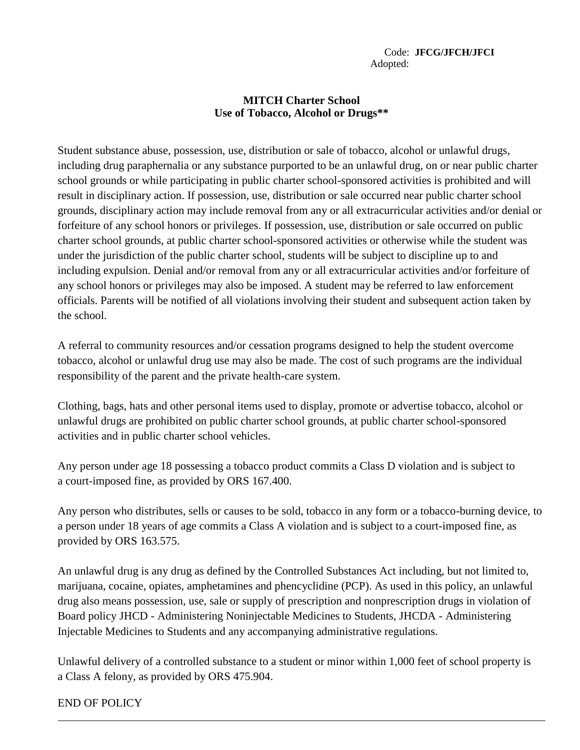## **MITCH Charter School Use of Tobacco, Alcohol or Drugs\*\***

Student substance abuse, possession, use, distribution or sale of tobacco, alcohol or unlawful drugs, including drug paraphernalia or any substance purported to be an unlawful drug, on or near public charter school grounds or while participating in public charter school-sponsored activities is prohibited and will result in disciplinary action. If possession, use, distribution or sale occurred near public charter school grounds, disciplinary action may include removal from any or all extracurricular activities and/or denial or forfeiture of any school honors or privileges. If possession, use, distribution or sale occurred on public charter school grounds, at public charter school-sponsored activities or otherwise while the student was under the jurisdiction of the public charter school, students will be subject to discipline up to and including expulsion. Denial and/or removal from any or all extracurricular activities and/or forfeiture of any school honors or privileges may also be imposed. A student may be referred to law enforcement officials. Parents will be notified of all violations involving their student and subsequent action taken by the school.

A referral to community resources and/or cessation programs designed to help the student overcome tobacco, alcohol or unlawful drug use may also be made. The cost of such programs are the individual responsibility of the parent and the private health-care system.

Clothing, bags, hats and other personal items used to display, promote or advertise tobacco, alcohol or unlawful drugs are prohibited on public charter school grounds, at public charter school-sponsored activities and in public charter school vehicles.

Any person under age 18 possessing a tobacco product commits a Class D violation and is subject to a court-imposed fine, as provided by ORS 167.400.

Any person who distributes, sells or causes to be sold, tobacco in any form or a tobacco-burning device, to a person under 18 years of age commits a Class A violation and is subject to a court-imposed fine, as provided by ORS 163.575.

An unlawful drug is any drug as defined by the Controlled Substances Act including, but not limited to, marijuana, cocaine, opiates, amphetamines and phencyclidine (PCP). As used in this policy, an unlawful drug also means possession, use, sale or supply of prescription and nonprescription drugs in violation of Board policy JHCD - Administering Noninjectable Medicines to Students, JHCDA - Administering Injectable Medicines to Students and any accompanying administrative regulations.

Unlawful delivery of a controlled substance to a student or minor within 1,000 feet of school property is a Class A felony, as provided by ORS 475.904.

END OF POLICY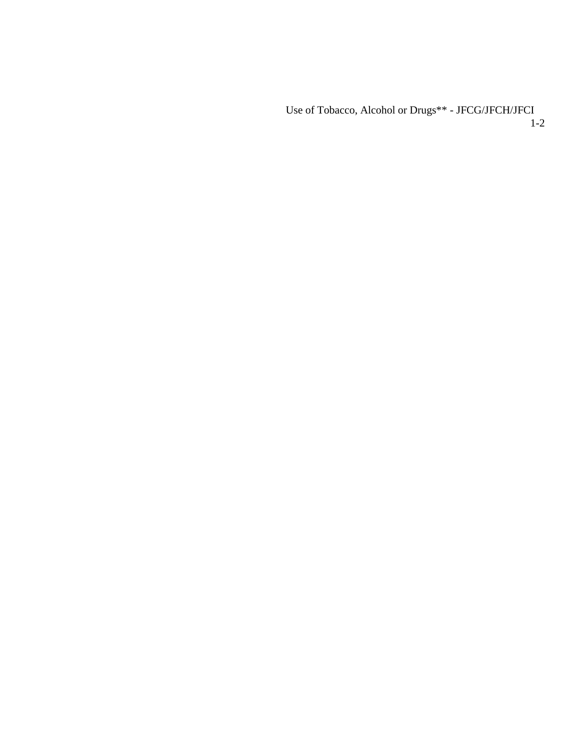Use of Tobacco, Alcohol or Drugs\*\* - JFCG/JFCH/JFCI 1-2